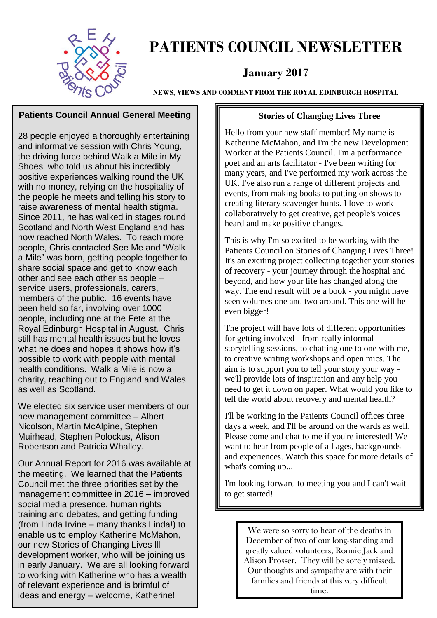

### **PATIENTS COUNCIL NEWSLETTER**

#### **January 2017**

**NEWS, VIEWS AND COMMENT FROM THE ROYAL EDINBURGH HOSPITAL**

#### **Patients Council Annual General Meeting**

28 people enjoyed a thoroughly entertaining and informative session with Chris Young, the driving force behind Walk a Mile in My Shoes, who told us about his incredibly positive experiences walking round the UK with no money, relying on the hospitality of the people he meets and telling his story to raise awareness of mental health stigma. Since 2011, he has walked in stages round Scotland and North West England and has now reached North Wales. To reach more people, Chris contacted See Me and "Walk a Mile" was born, getting people together to share social space and get to know each other and see each other as people – service users, professionals, carers, members of the public. 16 events have been held so far, involving over 1000 people, including one at the Fete at the Royal Edinburgh Hospital in August. Chris still has mental health issues but he loves what he does and hopes it shows how it's possible to work with people with mental health conditions. Walk a Mile is now a charity, reaching out to England and Wales as well as Scotland.

We elected six service user members of our new management committee – Albert Nicolson, Martin McAlpine, Stephen Muirhead, Stephen Polockus, Alison Robertson and Patricia Whalley.

Our Annual Report for 2016 was available at the meeting. We learned that the Patients Council met the three priorities set by the management committee in 2016 – improved social media presence, human rights training and debates, and getting funding (from Linda Irvine – many thanks Linda!) to enable us to employ Katherine McMahon, our new Stories of Changing Lives lll development worker, who will be joining us in early January. We are all looking forward to working with Katherine who has a wealth of relevant experience and is brimful of ideas and energy – welcome, Katherine!

#### **Stories of Changing Lives Three**

Hello from your new staff member! My name is Katherine McMahon, and I'm the new Development Worker at the Patients Council. I'm a performance poet and an arts facilitator - I've been writing for many years, and I've performed my work across the UK. I've also run a range of different projects and events, from making books to putting on shows to creating literary scavenger hunts. I love to work collaboratively to get creative, get people's voices heard and make positive changes.

This is why I'm so excited to be working with the Patients Council on Stories of Changing Lives Three! It's an exciting project collecting together your stories of recovery - your journey through the hospital and beyond, and how your life has changed along the way. The end result will be a book - you might have seen volumes one and two around. This one will be even bigger!

The project will have lots of different opportunities for getting involved - from really informal storytelling sessions, to chatting one to one with me, to creative writing workshops and open mics. The aim is to support you to tell your story your way we'll provide lots of inspiration and any help you need to get it down on paper. What would you like to tell the world about recovery and mental health?

I'll be working in the Patients Council offices three days a week, and I'll be around on the wards as well. Please come and chat to me if you're interested! We want to hear from people of all ages, backgrounds and experiences. Watch this space for more details of what's coming up...

I'm looking forward to meeting you and I can't wait to get started!

> We were so sorry to hear of the deaths in December of two of our long-standing and greatly valued volunteers, Ronnie Jack and Alison Prosser. They will be sorely missed. Our thoughts and sympathy are with their families and friends at this very difficult time.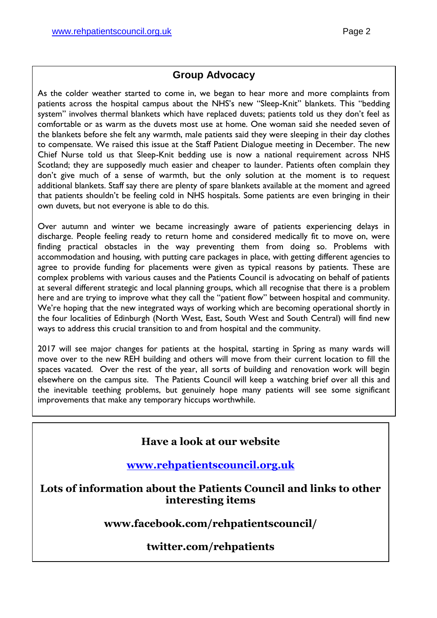#### **Group Advocacy**

As the colder weather started to come in, we began to hear more and more complaints from patients across the hospital campus about the NHS's new "Sleep-Knit" blankets. This "bedding system" involves thermal blankets which have replaced duvets; patients told us they don't feel as comfortable or as warm as the duvets most use at home. One woman said she needed seven of the blankets before she felt any warmth, male patients said they were sleeping in their day clothes to compensate. We raised this issue at the Staff Patient Dialogue meeting in December. The new Chief Nurse told us that Sleep-Knit bedding use is now a national requirement across NHS Scotland; they are supposedly much easier and cheaper to launder. Patients often complain they don't give much of a sense of warmth, but the only solution at the moment is to request additional blankets. Staff say there are plenty of spare blankets available at the moment and agreed that patients shouldn't be feeling cold in NHS hospitals. Some patients are even bringing in their own duvets, but not everyone is able to do this.

Over autumn and winter we became increasingly aware of patients experiencing delays in discharge. People feeling ready to return home and considered medically fit to move on, were finding practical obstacles in the way preventing them from doing so. Problems with accommodation and housing, with putting care packages in place, with getting different agencies to agree to provide funding for placements were given as typical reasons by patients. These are complex problems with various causes and the Patients Council is advocating on behalf of patients at several different strategic and local planning groups, which all recognise that there is a problem here and are trying to improve what they call the "patient flow" between hospital and community. We're hoping that the new integrated ways of working which are becoming operational shortly in the four localities of Edinburgh (North West, East, South West and South Central) will find new ways to address this crucial transition to and from hospital and the community.

2017 will see major changes for patients at the hospital, starting in Spring as many wards will move over to the new REH building and others will move from their current location to fill the spaces vacated. Over the rest of the year, all sorts of building and renovation work will begin elsewhere on the campus site. The Patients Council will keep a watching brief over all this and the inevitable teething problems, but genuinely hope many patients will see some significant improvements that make any temporary hiccups worthwhile.

#### **Have a look at our website**

**[www.rehpatientscouncil.org.uk](http://www.rehpatientscouncil.org.uk/)**

**Lots of information about the Patients Council and links to other interesting items**

**www.facebook.com/rehpatientscouncil/**

#### **twitter.com/rehpatients**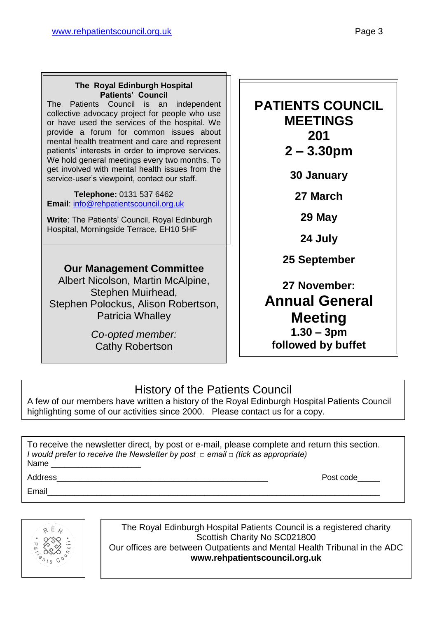#### **The Royal Edinburgh Hospital Patients' Council**

The Patients Council is an independent collective advocacy project for people who use or have used the services of the hospital. We provide a forum for common issues about mental health treatment and care and represent patients' interests in order to improve services. We hold general meetings every two months. To get involved with mental health issues from the service-user's viewpoint, contact our staff.

 **Telephone:** 0131 537 6462 **Email**: [info@rehpatientscouncil.org.uk](mailto:info@rehpatientscouncil.org.uk)

**Write**: The Patients' Council, Royal Edinburgh Hospital, Morningside Terrace, EH10 5HF

#### **Our Management Committee**

Albert Nicolson, Martin McAlpine, Stephen Muirhead, Stephen Polockus, Alison Robertson, Patricia Whalley

> *Co-opted member:* Cathy Robertson

#### **PATIENTS COUNCIL MEETINGS 201**

**2 – 3.30pm**

**30 January**

**27 March**

**29 May**

**24 July**

**25 September**

#### **27 November: Annual General Meeting 1.30 – 3pm followed by buffet**

#### History of the Patients Council

A few of our members have written a history of the Royal Edinburgh Hospital Patients Council highlighting some of our activities since 2000. Please contact us for a copy.

To receive the newsletter direct, by post or e-mail, please complete and return this section. *I would prefer to receive the Newsletter by post □ email □ (tick as appropriate)* Name

Email\_\_\_\_\_\_\_\_\_\_\_\_\_\_\_\_\_\_\_\_\_\_\_\_\_\_\_\_\_\_\_\_\_\_\_\_\_\_\_\_\_\_\_\_\_\_\_\_\_\_\_\_\_\_\_\_\_\_\_\_\_\_\_\_\_\_\_\_\_\_\_\_\_\_

Address **Address Post code** 



The Royal Edinburgh Hospital Patients Council is a registered charity Scottish Charity No SC021800 Our offices are between Outpatients and Mental Health Tribunal in the ADC **www.rehpatientscouncil.org.uk**